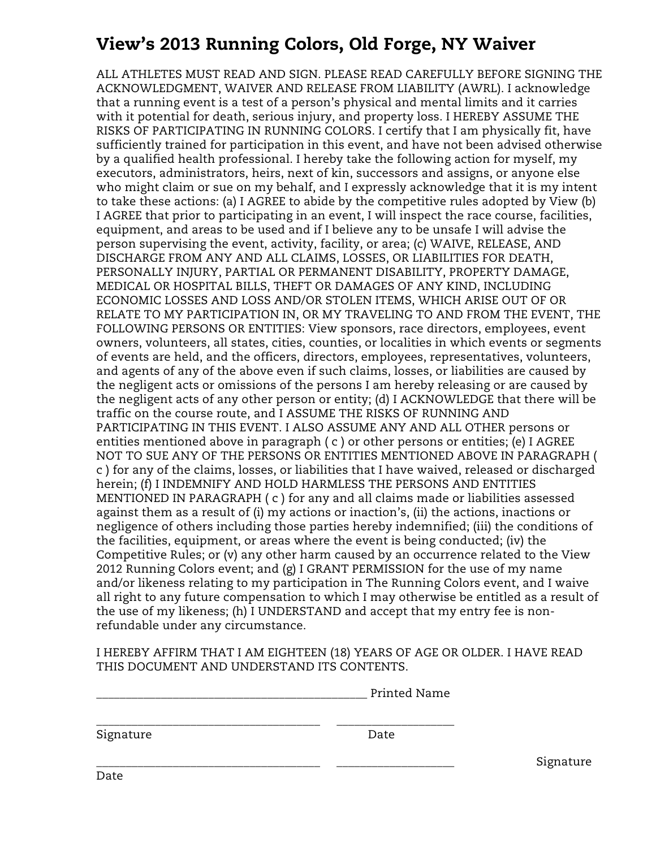## View's 2013 Running Colors, Old Forge, NY Waiver

ALL ATHLETES MUST READ AND SIGN. PLEASE READ CAREFULLY BEFORE SIGNING THE ACKNOWLEDGMENT, WAIVER AND RELEASE FROM LIABILITY (AWRL). I acknowledge that a running event is a test of a person's physical and mental limits and it carries with it potential for death, serious injury, and property loss. I HEREBY ASSUME THE RISKS OF PARTICIPATING IN RUNNING COLORS. I certify that I am physically fit, have sufficiently trained for participation in this event, and have not been advised otherwise by a qualified health professional. I hereby take the following action for myself, my executors, administrators, heirs, next of kin, successors and assigns, or anyone else who might claim or sue on my behalf, and I expressly acknowledge that it is my intent to take these actions: (a) I AGREE to abide by the competitive rules adopted by View (b) I AGREE that prior to participating in an event, I will inspect the race course, facilities, equipment, and areas to be used and if I believe any to be unsafe I will advise the person supervising the event, activity, facility, or area; (c) WAIVE, RELEASE, AND DISCHARGE FROM ANY AND ALL CLAIMS, LOSSES, OR LIABILITIES FOR DEATH, PERSONALLY INJURY, PARTIAL OR PERMANENT DISABILITY, PROPERTY DAMAGE, MEDICAL OR HOSPITAL BILLS, THEFT OR DAMAGES OF ANY KIND, INCLUDING ECONOMIC LOSSES AND LOSS AND/OR STOLEN ITEMS, WHICH ARISE OUT OF OR RELATE TO MY PARTICIPATION IN, OR MY TRAVELING TO AND FROM THE EVENT, THE FOLLOWING PERSONS OR ENTITIES: View sponsors, race directors, employees, event owners, volunteers, all states, cities, counties, or localities in which events or segments of events are held, and the officers, directors, employees, representatives, volunteers, and agents of any of the above even if such claims, losses, or liabilities are caused by the negligent acts or omissions of the persons I am hereby releasing or are caused by the negligent acts of any other person or entity; (d) I ACKNOWLEDGE that there will be traffic on the course route, and I ASSUME THE RISKS OF RUNNING AND PARTICIPATING IN THIS EVENT. I ALSO ASSUME ANY AND ALL OTHER persons or entities mentioned above in paragraph ( c ) or other persons or entities; (e) I AGREE NOT TO SUE ANY OF THE PERSONS OR ENTITIES MENTIONED ABOVE IN PARAGRAPH ( c ) for any of the claims, losses, or liabilities that I have waived, released or discharged herein; (f) I INDEMNIFY AND HOLD HARMLESS THE PERSONS AND ENTITIES MENTIONED IN PARAGRAPH ( c ) for any and all claims made or liabilities assessed against them as a result of (i) my actions or inaction's, (ii) the actions, inactions or negligence of others including those parties hereby indemnified; (iii) the conditions of the facilities, equipment, or areas where the event is being conducted; (iv) the Competitive Rules; or (v) any other harm caused by an occurrence related to the View 2012 Running Colors event; and (g) I GRANT PERMISSION for the use of my name and/or likeness relating to my participation in The Running Colors event, and I waive all right to any future compensation to which I may otherwise be entitled as a result of the use of my likeness; (h) I UNDERSTAND and accept that my entry fee is nonrefundable under any circumstance.

I HEREBY AFFIRM THAT I AM EIGHTEEN (18) YEARS OF AGE OR OLDER. I HAVE READ THIS DOCUMENT AND UNDERSTAND ITS CONTENTS.

| Printed Name<br>__________ |
|----------------------------|
|                            |
|                            |
| ___<br>_________________   |

| Signature | Date |
|-----------|------|
|-----------|------|

\_\_\_\_\_\_\_\_\_\_\_\_\_\_\_\_\_\_\_\_\_\_\_\_\_\_\_\_\_\_\_\_\_\_\_\_\_\_ \_\_\_\_\_\_\_\_\_\_\_\_\_\_\_\_\_\_\_\_ Signature